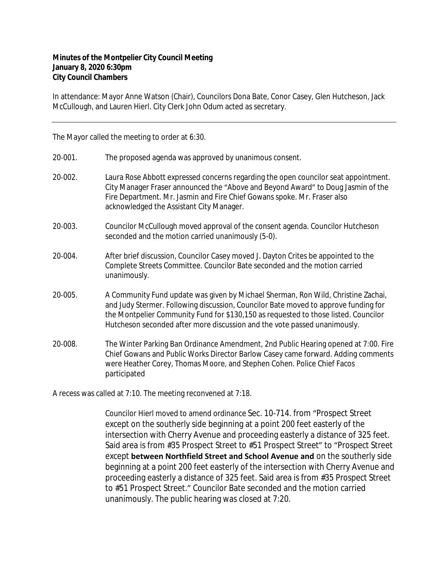## **Minutes of the Montpelier City Council Meeting January 8, 2020 6:30pm City Council Chambers**

In attendance: Mayor Anne Watson (Chair), Councilors Dona Bate, Conor Casey, Glen Hutcheson, Jack McCullough, and Lauren Hierl. City Clerk John Odum acted as secretary.

The Mayor called the meeting to order at 6:30.

- 20‐001. The proposed agenda was approved by unanimous consent.
- 20‐002. Laura Rose Abbott expressed concerns regarding the open councilor seat appointment. City Manager Fraser announced the "Above and Beyond Award" to Doug Jasmin of the Fire Department. Mr. Jasmin and Fire Chief Gowans spoke. Mr. Fraser also acknowledged the Assistant City Manager.
- 20‐003. Councilor McCullough moved approval of the consent agenda. Councilor Hutcheson seconded and the motion carried unanimously (5-0).
- 20‐004. After brief discussion, Councilor Casey moved J. Dayton Crites be appointed to the Complete Streets Committee. Councilor Bate seconded and the motion carried unanimously.
- 20‐005. A Community Fund update was given by Michael Sherman, Ron Wild, Christine Zachai, and Judy Stermer. Following discussion, Councilor Bate moved to approve funding for the Montpelier Community Fund for \$130,150 as requested to those listed. Councilor Hutcheson seconded after more discussion and the vote passed unanimously.
- 20‐008. The Winter Parking Ban Ordinance Amendment, 2nd Public Hearing opened at 7:00. Fire Chief Gowans and Public Works Director Barlow Casey came forward. Adding comments were Heather Corey, Thomas Moore, and Stephen Cohen. Police Chief Facos participated

A recess was called at 7:10. The meeting reconvened at 7:18.

Councilor Hierl moved to amend ordinance Sec. 10-714. from "Prospect Street except on the southerly side beginning at a point 200 feet easterly of the intersection with Cherry Avenue and proceeding easterly a distance of 325 feet. Said area is from #35 Prospect Street to #51 Prospect Street" to "Prospect Street except **between Northfield Street and School Avenue and** on the southerly side beginning at a point 200 feet easterly of the intersection with Cherry Avenue and proceeding easterly a distance of 325 feet. Said area is from #35 Prospect Street to #51 Prospect Street." Councilor Bate seconded and the motion carried unanimously. The public hearing was closed at 7:20.